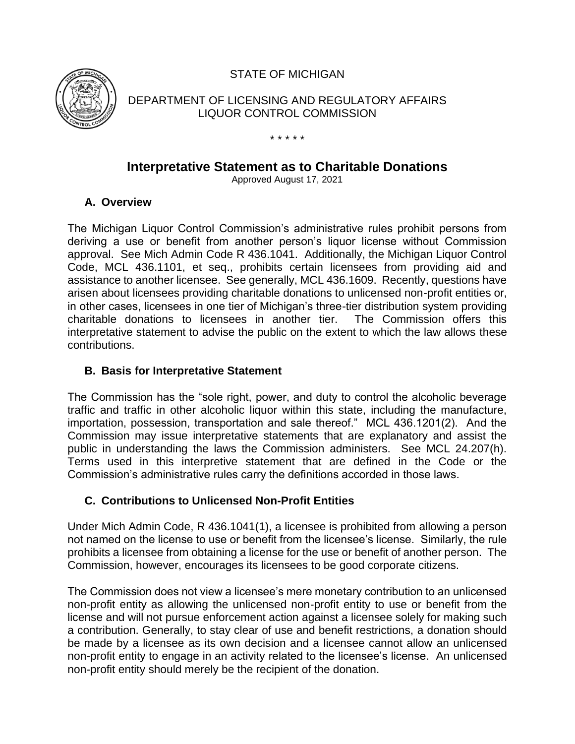STATE OF MICHIGAN



DEPARTMENT OF LICENSING AND REGULATORY AFFAIRS LIQUOR CONTROL COMMISSION

#### \* \* \* \* \*

# **Interpretative Statement as to Charitable Donations**

Approved August 17, 2021

### **A. Overview**

The Michigan Liquor Control Commission's administrative rules prohibit persons from deriving a use or benefit from another person's liquor license without Commission approval. See Mich Admin Code R 436.1041. Additionally, the Michigan Liquor Control Code, MCL 436.1101, et seq., prohibits certain licensees from providing aid and assistance to another licensee. See generally, MCL 436.1609. Recently, questions have arisen about licensees providing charitable donations to unlicensed non-profit entities or, in other cases, licensees in one tier of Michigan's three-tier distribution system providing charitable donations to licensees in another tier. The Commission offers this interpretative statement to advise the public on the extent to which the law allows these contributions.

### **B. Basis for Interpretative Statement**

The Commission has the "sole right, power, and duty to control the alcoholic beverage traffic and traffic in other alcoholic liquor within this state, including the manufacture, importation, possession, transportation and sale thereof." MCL 436.1201(2). And the Commission may issue interpretative statements that are explanatory and assist the public in understanding the laws the Commission administers. See MCL 24.207(h). Terms used in this interpretive statement that are defined in the Code or the Commission's administrative rules carry the definitions accorded in those laws.

# **C. Contributions to Unlicensed Non-Profit Entities**

Under Mich Admin Code, R 436.1041(1), a licensee is prohibited from allowing a person not named on the license to use or benefit from the licensee's license. Similarly, the rule prohibits a licensee from obtaining a license for the use or benefit of another person. The Commission, however, encourages its licensees to be good corporate citizens.

The Commission does not view a licensee's mere monetary contribution to an unlicensed non-profit entity as allowing the unlicensed non-profit entity to use or benefit from the license and will not pursue enforcement action against a licensee solely for making such a contribution. Generally, to stay clear of use and benefit restrictions, a donation should be made by a licensee as its own decision and a licensee cannot allow an unlicensed non-profit entity to engage in an activity related to the licensee's license. An unlicensed non-profit entity should merely be the recipient of the donation.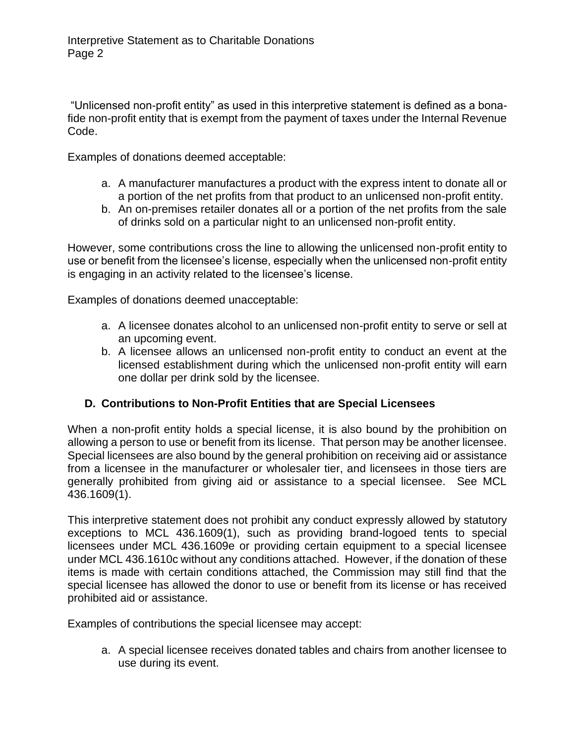"Unlicensed non-profit entity" as used in this interpretive statement is defined as a bonafide non-profit entity that is exempt from the payment of taxes under the Internal Revenue Code.

Examples of donations deemed acceptable:

- a. A manufacturer manufactures a product with the express intent to donate all or a portion of the net profits from that product to an unlicensed non-profit entity.
- b. An on-premises retailer donates all or a portion of the net profits from the sale of drinks sold on a particular night to an unlicensed non-profit entity.

However, some contributions cross the line to allowing the unlicensed non-profit entity to use or benefit from the licensee's license, especially when the unlicensed non-profit entity is engaging in an activity related to the licensee's license.

Examples of donations deemed unacceptable:

- a. A licensee donates alcohol to an unlicensed non-profit entity to serve or sell at an upcoming event.
- b. A licensee allows an unlicensed non-profit entity to conduct an event at the licensed establishment during which the unlicensed non-profit entity will earn one dollar per drink sold by the licensee.

# **D. Contributions to Non-Profit Entities that are Special Licensees**

When a non-profit entity holds a special license, it is also bound by the prohibition on allowing a person to use or benefit from its license. That person may be another licensee. Special licensees are also bound by the general prohibition on receiving aid or assistance from a licensee in the manufacturer or wholesaler tier, and licensees in those tiers are generally prohibited from giving aid or assistance to a special licensee. See MCL 436.1609(1).

This interpretive statement does not prohibit any conduct expressly allowed by statutory exceptions to MCL 436.1609(1), such as providing brand-logoed tents to special licensees under MCL 436.1609e or providing certain equipment to a special licensee under MCL 436.1610c without any conditions attached. However, if the donation of these items is made with certain conditions attached, the Commission may still find that the special licensee has allowed the donor to use or benefit from its license or has received prohibited aid or assistance.

Examples of contributions the special licensee may accept:

a. A special licensee receives donated tables and chairs from another licensee to use during its event.